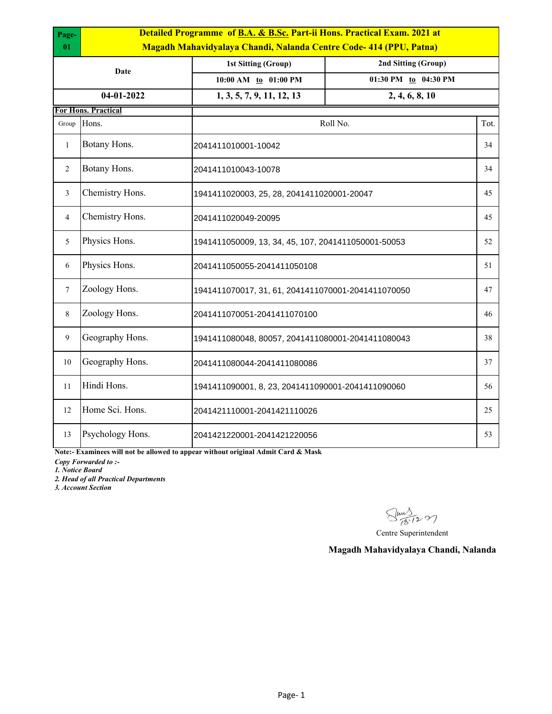| Page-<br>01    | Detailed Programme of B.A. & B.Sc. Part-ii Hons. Practical Exam. 2021 at<br>Magadh Mahavidyalaya Chandi, Nalanda Centre Code-414 (PPU, Patna) |                                                     |                     |      |  |  |
|----------------|-----------------------------------------------------------------------------------------------------------------------------------------------|-----------------------------------------------------|---------------------|------|--|--|
|                |                                                                                                                                               | 1st Sitting (Group)                                 | 2nd Sitting (Group) |      |  |  |
|                | Date                                                                                                                                          | 01:30 PM to 04:30 PM<br>10:00 AM to 01:00 PM        |                     |      |  |  |
|                | 04-01-2022                                                                                                                                    | 1, 3, 5, 7, 9, 11, 12, 13                           | 2, 4, 6, 8, 10      |      |  |  |
|                | <b>For Hons. Practical</b>                                                                                                                    |                                                     |                     |      |  |  |
| Group          | Hons.                                                                                                                                         | Roll No.                                            |                     | Tot. |  |  |
| $\mathbf{1}$   | Botany Hons.                                                                                                                                  | 2041411010001-10042                                 |                     | 34   |  |  |
| $\overline{2}$ | Botany Hons.                                                                                                                                  | 2041411010043-10078                                 |                     | 34   |  |  |
| 3              | Chemistry Hons.                                                                                                                               | 1941411020003, 25, 28, 2041411020001-20047          |                     | 45   |  |  |
| $\overline{4}$ | Chemistry Hons.                                                                                                                               | 2041411020049-20095                                 |                     | 45   |  |  |
| 5              | Physics Hons.                                                                                                                                 | 1941411050009, 13, 34, 45, 107, 2041411050001-50053 |                     | 52   |  |  |
| 6              | Physics Hons.                                                                                                                                 | 2041411050055-2041411050108                         |                     | 51   |  |  |
| $\tau$         | Zoology Hons.                                                                                                                                 | 1941411070017, 31, 61, 2041411070001-2041411070050  |                     | 47   |  |  |
| 8              | Zoology Hons.                                                                                                                                 | 2041411070051-2041411070100                         |                     | 46   |  |  |
| 9              | Geography Hons.                                                                                                                               | 1941411080048, 80057, 2041411080001-2041411080043   |                     | 38   |  |  |
| 10             | Geography Hons.                                                                                                                               | 2041411080044-2041411080086                         |                     | 37   |  |  |
| 11             | Hindi Hons.                                                                                                                                   | 1941411090001, 8, 23, 2041411090001-2041411090060   |                     | 56   |  |  |
| 12             | Home Sci. Hons.                                                                                                                               | 2041421110001-2041421110026                         |                     | 25   |  |  |
| 13             | Psychology Hons.                                                                                                                              | 2041421220001-2041421220056                         |                     | 53   |  |  |

**Note:- Examinees will not be allowed to appear without original Admit Card & Mask**

*Copy Forwarded to :-*

*1. Notice Board*

*2. Head of all Practical Departments*

*3. Account Section*

 $\sqrt{\frac{111}{18.12.77}}$ 

Centre Superintendent

**Magadh Mahavidyalaya Chandi, Nalanda**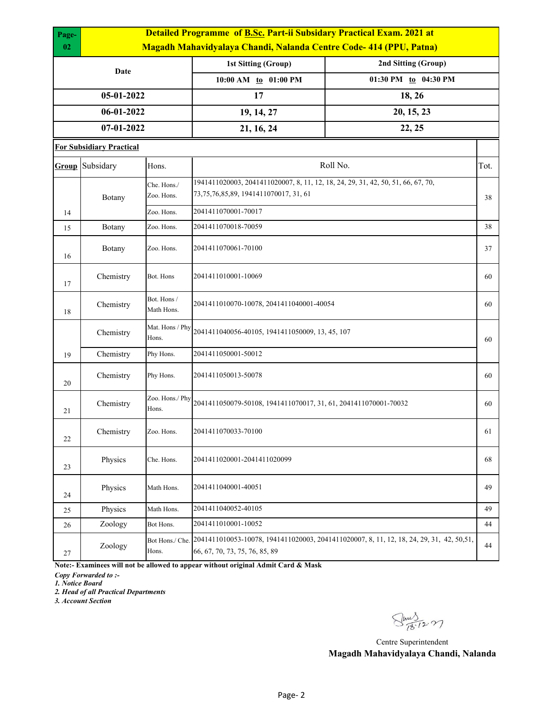| Page- | <b>Detailed Programme of B.Sc. Part-ii Subsidary Practical Exam. 2021 at</b> |                           |                                                                                                                                  |                                                                                           |    |  |  |  |
|-------|------------------------------------------------------------------------------|---------------------------|----------------------------------------------------------------------------------------------------------------------------------|-------------------------------------------------------------------------------------------|----|--|--|--|
| 02    | Magadh Mahavidyalaya Chandi, Nalanda Centre Code- 414 (PPU, Patna)           |                           |                                                                                                                                  |                                                                                           |    |  |  |  |
|       | Date                                                                         |                           | <b>1st Sitting (Group)</b>                                                                                                       | 2nd Sitting (Group)                                                                       |    |  |  |  |
|       |                                                                              |                           | 10:00 AM to 01:00 PM                                                                                                             | 01:30 PM to 04:30 PM                                                                      |    |  |  |  |
|       | 05-01-2022                                                                   |                           | 17                                                                                                                               | 18, 26                                                                                    |    |  |  |  |
|       | 06-01-2022                                                                   |                           | 19, 14, 27                                                                                                                       | 20, 15, 23                                                                                |    |  |  |  |
|       | 07-01-2022                                                                   |                           | 21, 16, 24                                                                                                                       | 22, 25                                                                                    |    |  |  |  |
|       | <b>For Subsidiary Practical</b>                                              |                           |                                                                                                                                  |                                                                                           |    |  |  |  |
|       | Roll No.<br>Group Subsidary<br>Hons.                                         |                           |                                                                                                                                  | Tot.                                                                                      |    |  |  |  |
|       | Botany                                                                       | Che. Hons./<br>Zoo. Hons. | 1941411020003, 2041411020007, 8, 11, 12, 18, 24, 29, 31, 42, 50, 51, 66, 67, 70,<br>73, 75, 76, 85, 89, 1941 411 070 017, 31, 61 |                                                                                           | 38 |  |  |  |
| 14    |                                                                              | Zoo. Hons.                | 2041411070001-70017                                                                                                              |                                                                                           |    |  |  |  |
| 15    | Botany                                                                       | Zoo. Hons.                | 2041411070018-70059                                                                                                              |                                                                                           | 38 |  |  |  |
| 16    | Botany                                                                       | Zoo. Hons.                | 2041411070061-70100                                                                                                              |                                                                                           | 37 |  |  |  |
| 17    | Chemistry                                                                    | Bot. Hons                 | 2041411010001-10069                                                                                                              |                                                                                           | 60 |  |  |  |
| 18    | Chemistry                                                                    | Bot. Hons /<br>Math Hons. | 2041411010070-10078, 2041411040001-40054                                                                                         |                                                                                           | 60 |  |  |  |
|       | Chemistry                                                                    | Mat. Hons / Phy<br>Hons.  | 2041411040056-40105, 1941411050009, 13, 45, 107                                                                                  |                                                                                           | 60 |  |  |  |
| 19    | Chemistry                                                                    | Phy Hons.                 | 2041411050001-50012                                                                                                              |                                                                                           |    |  |  |  |
| 20    | Chemistry                                                                    | Phy Hons.                 | 2041411050013-50078                                                                                                              |                                                                                           | 60 |  |  |  |
| 21    | Chemistry                                                                    | Zoo. Hons./ Phy<br>Hons.  | 2041411050079-50108, 1941411070017, 31, 61, 2041411070001-70032                                                                  |                                                                                           | 60 |  |  |  |
| 22    | Chemistry                                                                    | Zoo. Hons.                | 2041411070033-70100                                                                                                              |                                                                                           | 61 |  |  |  |
| 23    | Physics                                                                      | Che. Hons.                | 2041411020001-2041411020099                                                                                                      |                                                                                           | 68 |  |  |  |
| 24    | Physics                                                                      | Math Hons.                | 2041411040001-40051                                                                                                              |                                                                                           | 49 |  |  |  |
| 25    | Physics                                                                      | Math Hons.                | 2041411040052-40105                                                                                                              |                                                                                           | 49 |  |  |  |
| 26    | Zoology                                                                      | Bot Hons.                 | 2041411010001-10052                                                                                                              |                                                                                           | 44 |  |  |  |
| 27    | Zoology                                                                      | Bot Hons./ Che.<br>Hons.  | 66, 67, 70, 73, 75, 76, 85, 89                                                                                                   | 2041411010053-10078, 1941411020003, 2041411020007, 8, 11, 12, 18, 24, 29, 31, 42, 50, 51, | 44 |  |  |  |

**Note:- Examinees will not be allowed to appear without original Admit Card & Mask**

*Copy Forwarded to :-*

*1. Notice Board*

*2. Head of all Practical Departments*

*3. Account Section*

Sm 3-12.27

Centre Superintendent **Magadh Mahavidyalaya Chandi, Nalanda**